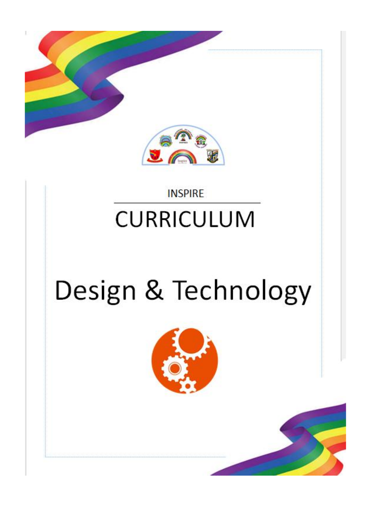

### **INSPIRE CURRICULUM**

# Design & Technology

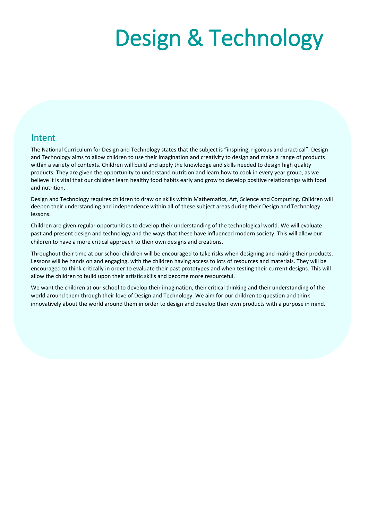## Design & Technology

#### Intent

The National Curriculum for Design and Technology states that the subject is "inspiring, rigorous and practical". Design and Technology aims to allow children to use their imagination and creativity to design and make a range of products within a variety of contexts. Children will build and apply the knowledge and skills needed to design high quality within a variety or contexts. Children will build and apply the knowledge and skills heeded to design high quality<br>products. They are given the opportunity to understand nutrition and learn how to cook in every year group, believe it is vital that our children learn healthy food habits early and grow to develop positive relationships with food and nutrition.

Design and Technology requires children to draw on skills within Mathematics, Art, Science and Computing. Children will deepen their understanding and independence within all of these subject areas during their Design and Technology lessons.

Children are given regular opportunities to develop their understanding of the technological world. We will evaluate past and present design and technology and the ways that these have influenced modern society. This will allow our children to have a more critical approach to their own designs and creations.

Throughout their time at our school children will be encouraged to take risks when designing and making their products. Lessons will be hands on and engaging, with the children having access to lots of resources and materials. They will be encouraged to think critically in order to evaluate their past prototypes and when testing their current designs. This will allow the children to build upon their artistic skills and become more resourceful.

We want the children at our school to develop their imagination, their critical thinking and their understanding of the world around them through their love of Design and Technology. We aim for our children to question and think innovatively about the world around them in order to design and develop their own products with a purpose in mind.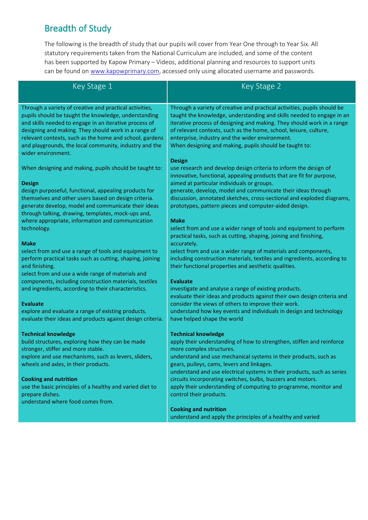#### Breadth of Study

The following is the breadth of study that our pupils will cover from Year One through to Year Six. All statutory requirements taken from the National Curriculum are included, and some of the content has been supported by Kapow Primary – Videos, additional planning and resources to support units can be found on [www.kapowprimary.com,](http://www.kapowprimary.com/) accessed only using allocated username and passwords.

| Key Stage 1                                                                                                                                                               | Key Stage 2                                                                                                                                                                                        |
|---------------------------------------------------------------------------------------------------------------------------------------------------------------------------|----------------------------------------------------------------------------------------------------------------------------------------------------------------------------------------------------|
| Through a variety of creative and practical activities,<br>pupils should be taught the knowledge, understanding                                                           | Through a variety of creative and practical activities, pupils should be<br>taught the knowledge, understanding and skills needed to engage in an                                                  |
| and skills needed to engage in an iterative process of<br>designing and making. They should work in a range of<br>relevant contexts, such as the home and school, gardens | iterative process of designing and making. They should work in a range<br>of relevant contexts, such as the home, school, leisure, culture,<br>enterprise, industry and the wider environment.     |
| and playgrounds, the local community, industry and the<br>wider environment.                                                                                              | When designing and making, pupils should be taught to:                                                                                                                                             |
| When designing and making, pupils should be taught to:                                                                                                                    | <b>Design</b><br>use research and develop design criteria to inform the design of<br>innovative, functional, appealing products that are fit for purpose,                                          |
| <b>Design</b>                                                                                                                                                             | aimed at particular individuals or groups.                                                                                                                                                         |
| design purposeful, functional, appealing products for<br>themselves and other users based on design criteria.                                                             | generate, develop, model and communicate their ideas through<br>discussion, annotated sketches, cross-sectional and exploded diagrams,                                                             |
| generate develop, model and communicate their ideas<br>through talking, drawing, templates, mock-ups and,                                                                 | prototypes, pattern pieces and computer-aided design.                                                                                                                                              |
| where appropriate, information and communication<br>technology.                                                                                                           | <b>Make</b><br>select from and use a wider range of tools and equipment to perform                                                                                                                 |
|                                                                                                                                                                           | practical tasks, such as cutting, shaping, joining and finishing,                                                                                                                                  |
| <b>Make</b>                                                                                                                                                               | accurately.                                                                                                                                                                                        |
| select from and use a range of tools and equipment to<br>perform practical tasks such as cutting, shaping, joining<br>and finishing.                                      | select from and use a wider range of materials and components,<br>including construction materials, textiles and ingredients, according to<br>their functional properties and aesthetic qualities. |
| select from and use a wide range of materials and<br>components, including construction materials, textiles                                                               | <b>Evaluate</b>                                                                                                                                                                                    |
| and ingredients, according to their characteristics.                                                                                                                      | investigate and analyse a range of existing products.                                                                                                                                              |
| <b>Evaluate</b>                                                                                                                                                           | evaluate their ideas and products against their own design criteria and<br>consider the views of others to improve their work.                                                                     |
| explore and evaluate a range of existing products.                                                                                                                        | understand how key events and individuals in design and technology                                                                                                                                 |
| evaluate their ideas and products against design criteria.                                                                                                                | have helped shape the world                                                                                                                                                                        |
| <b>Technical knowledge</b>                                                                                                                                                | <b>Technical knowledge</b>                                                                                                                                                                         |
| build structures, exploring how they can be made<br>stronger, stiffer and more stable.                                                                                    | apply their understanding of how to strengthen, stiffen and reinforce<br>more complex structures.                                                                                                  |
| explore and use mechanisms, such as levers, sliders,                                                                                                                      | understand and use mechanical systems in their products, such as                                                                                                                                   |
| wheels and axles, in their products.                                                                                                                                      | gears, pulleys, cams, levers and linkages.<br>understand and use electrical systems in their products, such as series                                                                              |
| <b>Cooking and nutrition</b>                                                                                                                                              | circuits incorporating switches, bulbs, buzzers and motors.                                                                                                                                        |
| use the basic principles of a healthy and varied diet to                                                                                                                  | apply their understanding of computing to programme, monitor and                                                                                                                                   |
| prepare dishes.<br>understand where food comes from.                                                                                                                      | control their products.                                                                                                                                                                            |
|                                                                                                                                                                           | <b>Cooking and nutrition</b>                                                                                                                                                                       |
|                                                                                                                                                                           | understand and apply the principles of a healthy and varied                                                                                                                                        |
|                                                                                                                                                                           |                                                                                                                                                                                                    |
|                                                                                                                                                                           |                                                                                                                                                                                                    |
|                                                                                                                                                                           |                                                                                                                                                                                                    |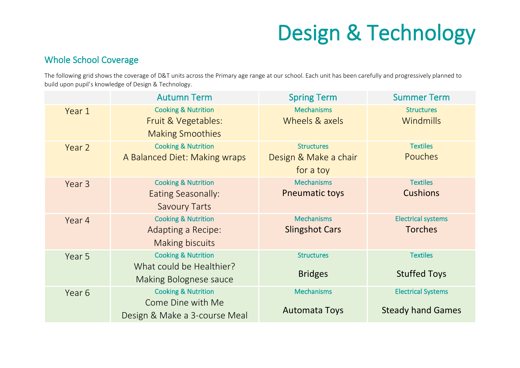### Design & Technology

#### Whole School Coverage

The following grid shows the coverage of D&T units across the Primary age range at our school. Each unit has been carefully and progressively planned to build upon pupil's knowledge of Design & Technology.

|        | <b>Autumn Term</b>                                                                          | <b>Spring Term</b>                                      | <b>Summer Term</b>                                    |
|--------|---------------------------------------------------------------------------------------------|---------------------------------------------------------|-------------------------------------------------------|
| Year 1 | <b>Cooking &amp; Nutrition</b><br>Fruit & Vegetables:<br><b>Making Smoothies</b>            | <b>Mechanisms</b><br>Wheels & axels                     | <b>Structures</b><br>Windmills                        |
| Year 2 | <b>Cooking &amp; Nutrition</b><br>A Balanced Diet: Making wraps                             | <b>Structures</b><br>Design & Make a chair<br>for a toy | <b>Textiles</b><br>Pouches                            |
| Year 3 | <b>Cooking &amp; Nutrition</b><br>Eating Seasonally:<br><b>Savoury Tarts</b>                | <b>Mechanisms</b><br><b>Pneumatic toys</b>              | <b>Textiles</b><br><b>Cushions</b>                    |
| Year 4 | <b>Cooking &amp; Nutrition</b><br>Adapting a Recipe:<br><b>Making biscuits</b>              | <b>Mechanisms</b><br><b>Slingshot Cars</b>              | <b>Electrical systems</b><br><b>Torches</b>           |
| Year 5 | <b>Cooking &amp; Nutrition</b><br>What could be Healthier?<br><b>Making Bolognese sauce</b> | <b>Structures</b><br><b>Bridges</b>                     | <b>Textiles</b><br><b>Stuffed Toys</b>                |
| Year 6 | <b>Cooking &amp; Nutrition</b><br>Come Dine with Me<br>Design & Make a 3-course Meal        | <b>Mechanisms</b><br><b>Automata Toys</b>               | <b>Electrical Systems</b><br><b>Steady hand Games</b> |